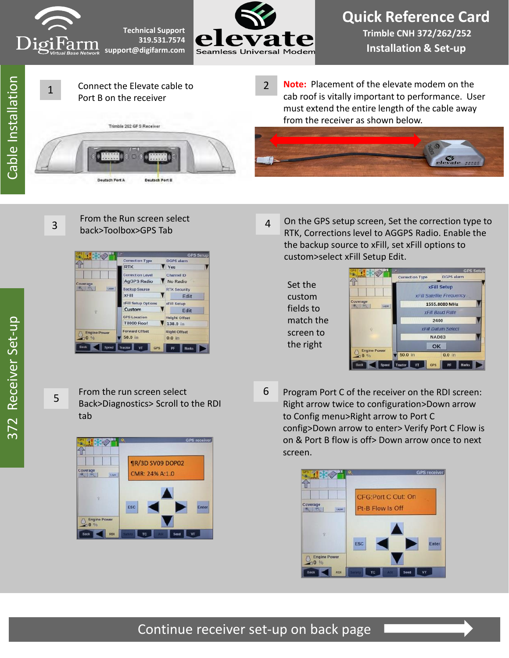





Connect the Elevate cable to Port B on the receiver



 $\mathcal{L}$ **Note:** Placement of the elevate modem on the cab roof is vitally important to performance. User must extend the entire length of the cable away from the receiver as shown below.



3

5

1

## From the Run screen select back>Toolbox>GPS Tab



- 4 On the GPS setup screen, Set the correction type to RTK, Corrections level to AGGPS Radio. Enable the the backup source to xFill, set xFill options to custom>select xFill Setup Edit.
	- Set the custom fields to match the screen to the right

|                                                                                | <b>GPS Setup</b>                                       |            |                   |              |  |
|--------------------------------------------------------------------------------|--------------------------------------------------------|------------|-------------------|--------------|--|
|                                                                                | <b>Correction Type</b>                                 |            | <b>DGPS alarm</b> |              |  |
|                                                                                | <b>xFill Setup</b><br><b>xFill Satellite Frequency</b> |            |                   |              |  |
| Coverage<br>$\theta$ $\theta$<br>Layer.<br>ü<br><b>Engine Power</b><br>$-0.96$ | 1555.8080 MHz                                          |            |                   |              |  |
|                                                                                | xFill Baud Rate                                        |            |                   |              |  |
|                                                                                | 2400                                                   |            |                   |              |  |
|                                                                                | <b>xFill Datum Select</b>                              |            |                   |              |  |
|                                                                                | <b>NAD83</b>                                           |            |                   |              |  |
|                                                                                |                                                        | OK         |                   |              |  |
|                                                                                | 50.0 in                                                |            | $0.0$ in          |              |  |
| Back<br>Speed                                                                  | VT<br>Tractor                                          | <b>GPS</b> | PF                | <b>Marks</b> |  |

From the run screen select Back>Diagnostics> Scroll to the RDI tab



- 
- 6 Program Port C of the receiver on the RDI screen: Right arrow twice to configuration>Down arrow to Config menu>Right arrow to Port C config>Down arrow to enter> Verify Port C Flow is on & Port B flow is off> Down arrow once to next screen.